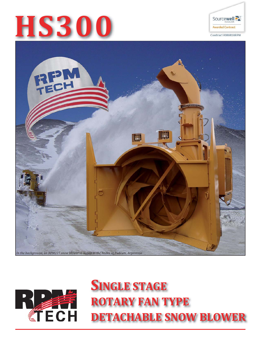







# **SINGLE STAGE ROTARY FAN TYPE DETACHABLE SNOW BLOWER**